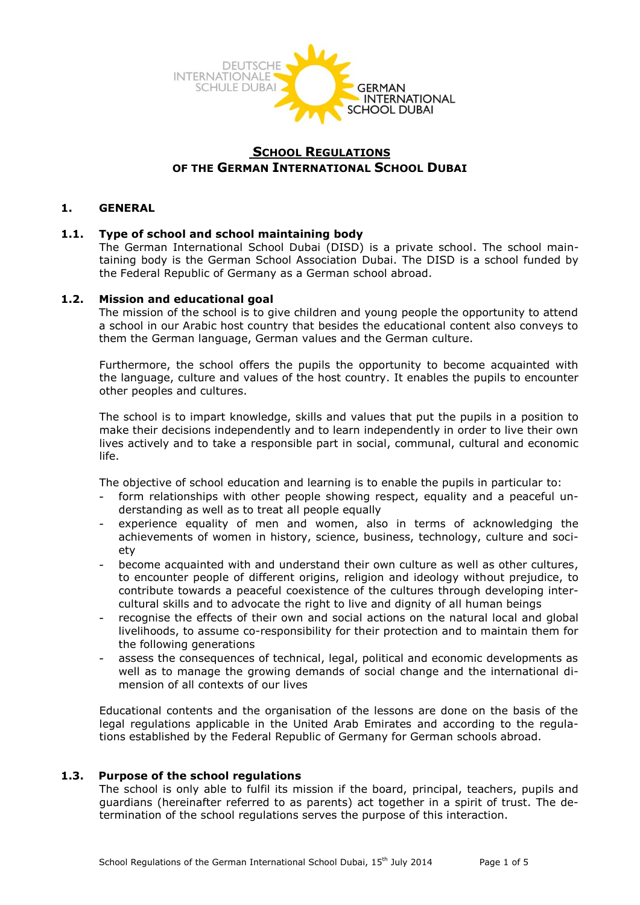

# **SCHOOL REGULATIONS OF THE GERMAN INTERNATIONAL SCHOOL DUBAI**

## **1. GENERAL**

## **1.1. Type of school and school maintaining body**

The German International School Dubai (DISD) is a private school. The school maintaining body is the German School Association Dubai. The DISD is a school funded by the Federal Republic of Germany as a German school abroad.

### **1.2. Mission and educational goal**

The mission of the school is to give children and young people the opportunity to attend a school in our Arabic host country that besides the educational content also conveys to them the German language, German values and the German culture.

Furthermore, the school offers the pupils the opportunity to become acquainted with the language, culture and values of the host country. It enables the pupils to encounter other peoples and cultures.

The school is to impart knowledge, skills and values that put the pupils in a position to make their decisions independently and to learn independently in order to live their own lives actively and to take a responsible part in social, communal, cultural and economic life.

The objective of school education and learning is to enable the pupils in particular to:

- form relationships with other people showing respect, equality and a peaceful understanding as well as to treat all people equally
- experience equality of men and women, also in terms of acknowledging the achievements of women in history, science, business, technology, culture and society
- become acquainted with and understand their own culture as well as other cultures, to encounter people of different origins, religion and ideology without prejudice, to contribute towards a peaceful coexistence of the cultures through developing intercultural skills and to advocate the right to live and dignity of all human beings
- recognise the effects of their own and social actions on the natural local and global livelihoods, to assume co-responsibility for their protection and to maintain them for the following generations
- assess the consequences of technical, legal, political and economic developments as well as to manage the growing demands of social change and the international dimension of all contexts of our lives

Educational contents and the organisation of the lessons are done on the basis of the legal regulations applicable in the United Arab Emirates and according to the regulations established by the Federal Republic of Germany for German schools abroad.

### **1.3. Purpose of the school regulations**

The school is only able to fulfil its mission if the board, principal, teachers, pupils and guardians (hereinafter referred to as parents) act together in a spirit of trust. The determination of the school regulations serves the purpose of this interaction.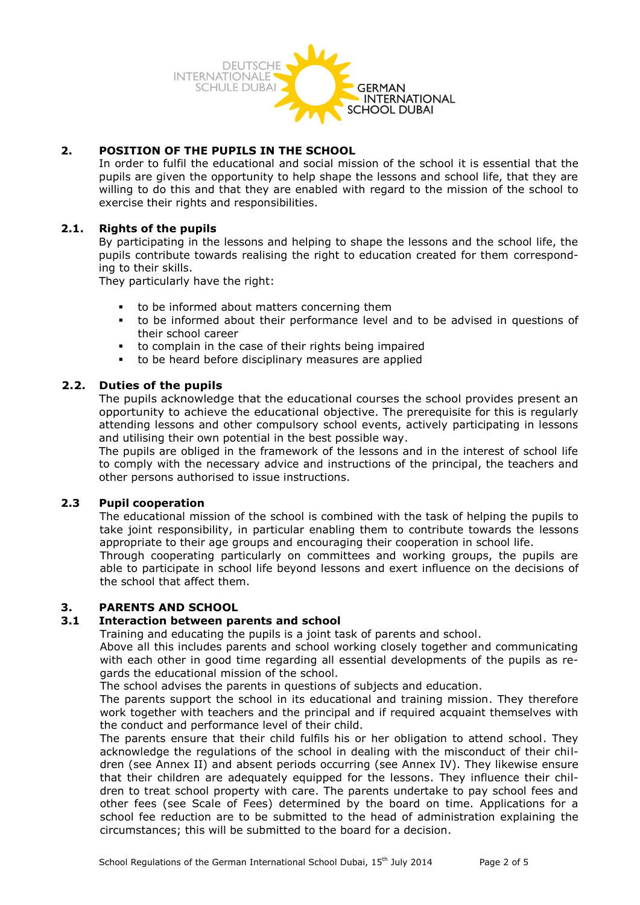

## **2. POSITION OF THE PUPILS IN THE SCHOOL**

In order to fulfil the educational and social mission of the school it is essential that the pupils are given the opportunity to help shape the lessons and school life, that they are willing to do this and that they are enabled with regard to the mission of the school to exercise their rights and responsibilities.

## **2.1. Rights of the pupils**

By participating in the lessons and helping to shape the lessons and the school life, the pupils contribute towards realising the right to education created for them corresponding to their skills.

They particularly have the right:

- to be informed about matters concerning them
- to be informed about their performance level and to be advised in questions of their school career
- to complain in the case of their rights being impaired
- to be heard before disciplinary measures are applied

## **2.2. Duties of the pupils**

The pupils acknowledge that the educational courses the school provides present an opportunity to achieve the educational objective. The prerequisite for this is regularly attending lessons and other compulsory school events, actively participating in lessons and utilising their own potential in the best possible way.

The pupils are obliged in the framework of the lessons and in the interest of school life to comply with the necessary advice and instructions of the principal, the teachers and other persons authorised to issue instructions.

### **2.3 Pupil cooperation**

The educational mission of the school is combined with the task of helping the pupils to take joint responsibility, in particular enabling them to contribute towards the lessons appropriate to their age groups and encouraging their cooperation in school life.

Through cooperating particularly on committees and working groups, the pupils are able to participate in school life beyond lessons and exert influence on the decisions of the school that affect them.

## **3. PARENTS AND SCHOOL**

### **3.1 Interaction between parents and school**

Training and educating the pupils is a joint task of parents and school.

Above all this includes parents and school working closely together and communicating with each other in good time regarding all essential developments of the pupils as regards the educational mission of the school.

The school advises the parents in questions of subjects and education.

The parents support the school in its educational and training mission. They therefore work together with teachers and the principal and if required acquaint themselves with the conduct and performance level of their child.

The parents ensure that their child fulfils his or her obligation to attend school. They acknowledge the regulations of the school in dealing with the misconduct of their children (see Annex II) and absent periods occurring (see Annex IV). They likewise ensure that their children are adequately equipped for the lessons. They influence their children to treat school property with care. The parents undertake to pay school fees and other fees (see Scale of Fees) determined by the board on time. Applications for a school fee reduction are to be submitted to the head of administration explaining the circumstances; this will be submitted to the board for a decision.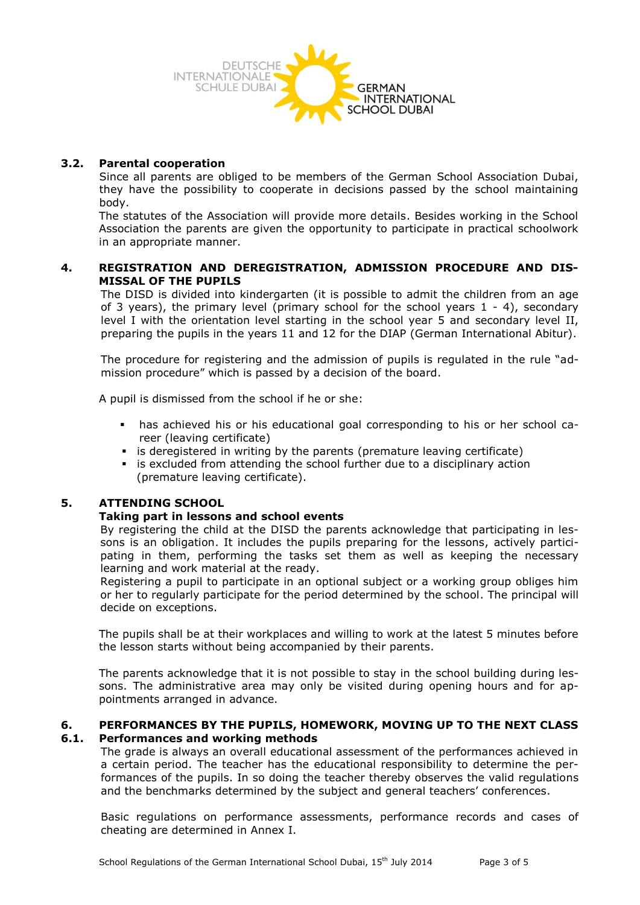

### **3.2. Parental cooperation**

Since all parents are obliged to be members of the German School Association Dubai, they have the possibility to cooperate in decisions passed by the school maintaining body.

The statutes of the Association will provide more details. Besides working in the School Association the parents are given the opportunity to participate in practical schoolwork in an appropriate manner.

### **4. REGISTRATION AND DEREGISTRATION, ADMISSION PROCEDURE AND DIS-MISSAL OF THE PUPILS**

The DISD is divided into kindergarten (it is possible to admit the children from an age of 3 years), the primary level (primary school for the school years  $1 - 4$ ), secondary level I with the orientation level starting in the school year 5 and secondary level II, preparing the pupils in the years 11 and 12 for the DIAP (German International Abitur).

The procedure for registering and the admission of pupils is regulated in the rule "admission procedure" which is passed by a decision of the board.

A pupil is dismissed from the school if he or she:

- has achieved his or his educational goal corresponding to his or her school career (leaving certificate)
- is deregistered in writing by the parents (premature leaving certificate)
- is excluded from attending the school further due to a disciplinary action (premature leaving certificate).

### **5. ATTENDING SCHOOL**

### **Taking part in lessons and school events**

By registering the child at the DISD the parents acknowledge that participating in lessons is an obligation. It includes the pupils preparing for the lessons, actively participating in them, performing the tasks set them as well as keeping the necessary learning and work material at the ready.

Registering a pupil to participate in an optional subject or a working group obliges him or her to regularly participate for the period determined by the school. The principal will decide on exceptions.

The pupils shall be at their workplaces and willing to work at the latest 5 minutes before the lesson starts without being accompanied by their parents.

The parents acknowledge that it is not possible to stay in the school building during lessons. The administrative area may only be visited during opening hours and for appointments arranged in advance.

### **6. PERFORMANCES BY THE PUPILS, HOMEWORK, MOVING UP TO THE NEXT CLASS 6.1. Performances and working methods**

The grade is always an overall educational assessment of the performances achieved in a certain period. The teacher has the educational responsibility to determine the performances of the pupils. In so doing the teacher thereby observes the valid regulations and the benchmarks determined by the subject and general teachers' conferences.

Basic regulations on performance assessments, performance records and cases of cheating are determined in Annex I.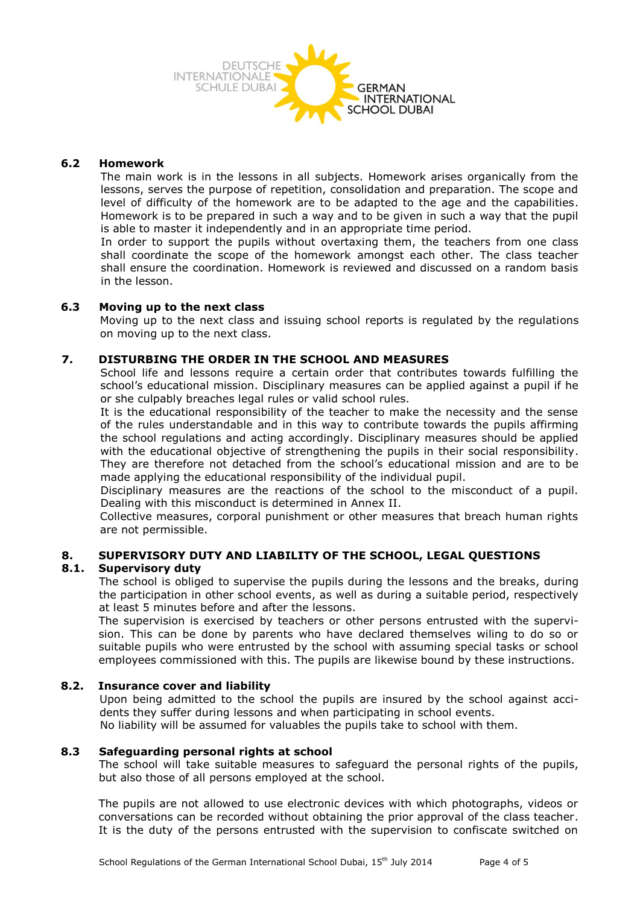

### **6.2 Homework**

The main work is in the lessons in all subjects. Homework arises organically from the lessons, serves the purpose of repetition, consolidation and preparation. The scope and level of difficulty of the homework are to be adapted to the age and the capabilities. Homework is to be prepared in such a way and to be given in such a way that the pupil is able to master it independently and in an appropriate time period.

In order to support the pupils without overtaxing them, the teachers from one class shall coordinate the scope of the homework amongst each other. The class teacher shall ensure the coordination. Homework is reviewed and discussed on a random basis in the lesson.

## **6.3 Moving up to the next class**

Moving up to the next class and issuing school reports is regulated by the regulations on moving up to the next class.

## **7. DISTURBING THE ORDER IN THE SCHOOL AND MEASURES**

School life and lessons require a certain order that contributes towards fulfilling the school's educational mission. Disciplinary measures can be applied against a pupil if he or she culpably breaches legal rules or valid school rules.

It is the educational responsibility of the teacher to make the necessity and the sense of the rules understandable and in this way to contribute towards the pupils affirming the school regulations and acting accordingly. Disciplinary measures should be applied with the educational objective of strengthening the pupils in their social responsibility. They are therefore not detached from the school's educational mission and are to be made applying the educational responsibility of the individual pupil.

Disciplinary measures are the reactions of the school to the misconduct of a pupil. Dealing with this misconduct is determined in Annex II.

Collective measures, corporal punishment or other measures that breach human rights are not permissible.

## **8. SUPERVISORY DUTY AND LIABILITY OF THE SCHOOL, LEGAL QUESTIONS 8.1. Supervisory duty**

The school is obliged to supervise the pupils during the lessons and the breaks, during the participation in other school events, as well as during a suitable period, respectively at least 5 minutes before and after the lessons.

The supervision is exercised by teachers or other persons entrusted with the supervision. This can be done by parents who have declared themselves wiling to do so or suitable pupils who were entrusted by the school with assuming special tasks or school employees commissioned with this. The pupils are likewise bound by these instructions.

### **8.2. Insurance cover and liability**

Upon being admitted to the school the pupils are insured by the school against accidents they suffer during lessons and when participating in school events. No liability will be assumed for valuables the pupils take to school with them.

### **8.3 Safeguarding personal rights at school**

The school will take suitable measures to safeguard the personal rights of the pupils, but also those of all persons employed at the school.

The pupils are not allowed to use electronic devices with which photographs, videos or conversations can be recorded without obtaining the prior approval of the class teacher. It is the duty of the persons entrusted with the supervision to confiscate switched on